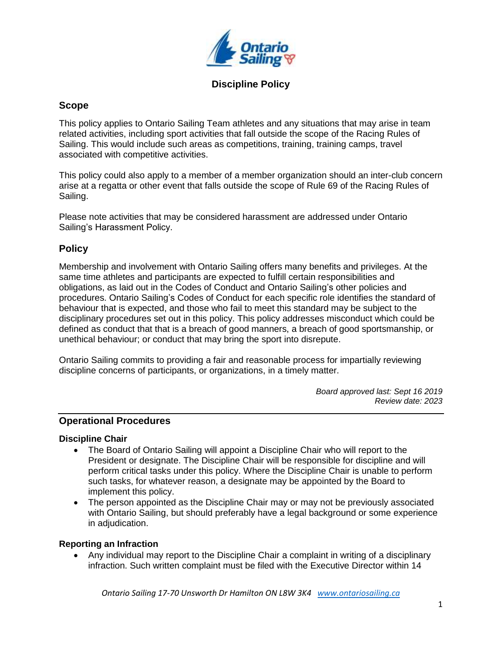

# **Scope**

This policy applies to Ontario Sailing Team athletes and any situations that may arise in team related activities, including sport activities that fall outside the scope of the Racing Rules of Sailing. This would include such areas as competitions, training, training camps, travel associated with competitive activities.

This policy could also apply to a member of a member organization should an inter-club concern arise at a regatta or other event that falls outside the scope of Rule 69 of the Racing Rules of Sailing.

Please note activities that may be considered harassment are addressed under Ontario Sailing's Harassment Policy.

# **Policy**

Membership and involvement with Ontario Sailing offers many benefits and privileges. At the same time athletes and participants are expected to fulfill certain responsibilities and obligations, as laid out in the Codes of Conduct and Ontario Sailing's other policies and procedures. Ontario Sailing's Codes of Conduct for each specific role identifies the standard of behaviour that is expected, and those who fail to meet this standard may be subject to the disciplinary procedures set out in this policy. This policy addresses misconduct which could be defined as conduct that that is a breach of good manners, a breach of good sportsmanship, or unethical behaviour; or conduct that may bring the sport into disrepute.

Ontario Sailing commits to providing a fair and reasonable process for impartially reviewing discipline concerns of participants, or organizations, in a timely matter.

> *Board approved last: Sept 16 2019 Review date: 2023*

#### **Operational Procedures**

#### **Discipline Chair**

- The Board of Ontario Sailing will appoint a Discipline Chair who will report to the President or designate. The Discipline Chair will be responsible for discipline and will perform critical tasks under this policy. Where the Discipline Chair is unable to perform such tasks, for whatever reason, a designate may be appointed by the Board to implement this policy.
- The person appointed as the Discipline Chair may or may not be previously associated with Ontario Sailing, but should preferably have a legal background or some experience in adjudication.

#### **Reporting an Infraction**

 Any individual may report to the Discipline Chair a complaint in writing of a disciplinary infraction. Such written complaint must be filed with the Executive Director within 14

*Ontario Sailing 17-70 Unsworth Dr Hamilton ON L8W 3K4 [www.ontariosailing.ca](http://www.ontariosailing.ca/)*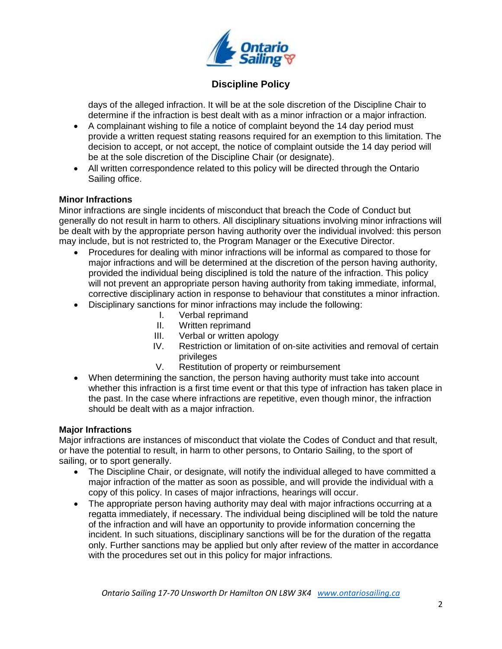

days of the alleged infraction. It will be at the sole discretion of the Discipline Chair to determine if the infraction is best dealt with as a minor infraction or a major infraction.

- A complainant wishing to file a notice of complaint beyond the 14 day period must provide a written request stating reasons required for an exemption to this limitation. The decision to accept, or not accept, the notice of complaint outside the 14 day period will be at the sole discretion of the Discipline Chair (or designate).
- All written correspondence related to this policy will be directed through the Ontario Sailing office.

### **Minor Infractions**

Minor infractions are single incidents of misconduct that breach the Code of Conduct but generally do not result in harm to others. All disciplinary situations involving minor infractions will be dealt with by the appropriate person having authority over the individual involved: this person may include, but is not restricted to, the Program Manager or the Executive Director.

- Procedures for dealing with minor infractions will be informal as compared to those for major infractions and will be determined at the discretion of the person having authority, provided the individual being disciplined is told the nature of the infraction. This policy will not prevent an appropriate person having authority from taking immediate, informal, corrective disciplinary action in response to behaviour that constitutes a minor infraction.
- Disciplinary sanctions for minor infractions may include the following:
	- I. Verbal reprimand
	- II. Written reprimand
	- III. Verbal or written apology
	- IV. Restriction or limitation of on-site activities and removal of certain privileges
	- V. Restitution of property or reimbursement
- When determining the sanction, the person having authority must take into account whether this infraction is a first time event or that this type of infraction has taken place in the past. In the case where infractions are repetitive, even though minor, the infraction should be dealt with as a major infraction.

# **Major Infractions**

Major infractions are instances of misconduct that violate the Codes of Conduct and that result, or have the potential to result, in harm to other persons, to Ontario Sailing, to the sport of sailing, or to sport generally.

- The Discipline Chair, or designate, will notify the individual alleged to have committed a major infraction of the matter as soon as possible, and will provide the individual with a copy of this policy. In cases of major infractions, hearings will occur.
- The appropriate person having authority may deal with major infractions occurring at a regatta immediately, if necessary. The individual being disciplined will be told the nature of the infraction and will have an opportunity to provide information concerning the incident. In such situations, disciplinary sanctions will be for the duration of the regatta only. Further sanctions may be applied but only after review of the matter in accordance with the procedures set out in this policy for major infractions.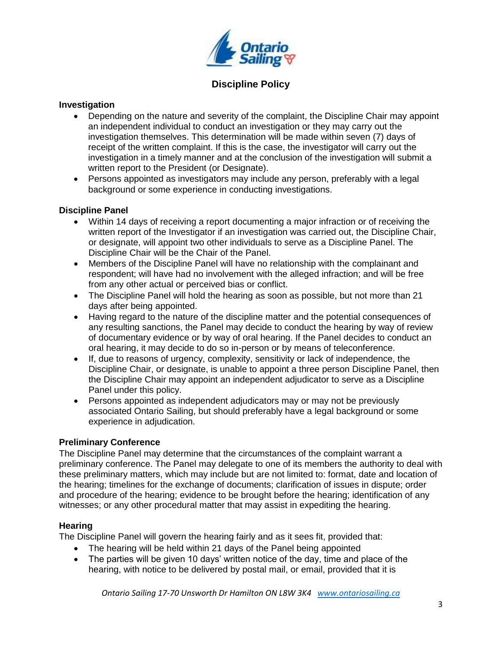

#### **Investigation**

- Depending on the nature and severity of the complaint, the Discipline Chair may appoint an independent individual to conduct an investigation or they may carry out the investigation themselves. This determination will be made within seven (7) days of receipt of the written complaint. If this is the case, the investigator will carry out the investigation in a timely manner and at the conclusion of the investigation will submit a written report to the President (or Designate).
- Persons appointed as investigators may include any person, preferably with a legal background or some experience in conducting investigations.

#### **Discipline Panel**

- Within 14 days of receiving a report documenting a major infraction or of receiving the written report of the Investigator if an investigation was carried out, the Discipline Chair, or designate, will appoint two other individuals to serve as a Discipline Panel. The Discipline Chair will be the Chair of the Panel.
- Members of the Discipline Panel will have no relationship with the complainant and respondent; will have had no involvement with the alleged infraction; and will be free from any other actual or perceived bias or conflict.
- The Discipline Panel will hold the hearing as soon as possible, but not more than 21 days after being appointed.
- Having regard to the nature of the discipline matter and the potential consequences of any resulting sanctions, the Panel may decide to conduct the hearing by way of review of documentary evidence or by way of oral hearing. If the Panel decides to conduct an oral hearing, it may decide to do so in-person or by means of teleconference.
- If, due to reasons of urgency, complexity, sensitivity or lack of independence, the Discipline Chair, or designate, is unable to appoint a three person Discipline Panel, then the Discipline Chair may appoint an independent adjudicator to serve as a Discipline Panel under this policy.
- Persons appointed as independent adjudicators may or may not be previously associated Ontario Sailing, but should preferably have a legal background or some experience in adjudication.

#### **Preliminary Conference**

The Discipline Panel may determine that the circumstances of the complaint warrant a preliminary conference. The Panel may delegate to one of its members the authority to deal with these preliminary matters, which may include but are not limited to: format, date and location of the hearing; timelines for the exchange of documents; clarification of issues in dispute; order and procedure of the hearing; evidence to be brought before the hearing; identification of any witnesses; or any other procedural matter that may assist in expediting the hearing.

#### **Hearing**

The Discipline Panel will govern the hearing fairly and as it sees fit, provided that:

- The hearing will be held within 21 days of the Panel being appointed
- The parties will be given 10 days' written notice of the day, time and place of the hearing, with notice to be delivered by postal mail, or email, provided that it is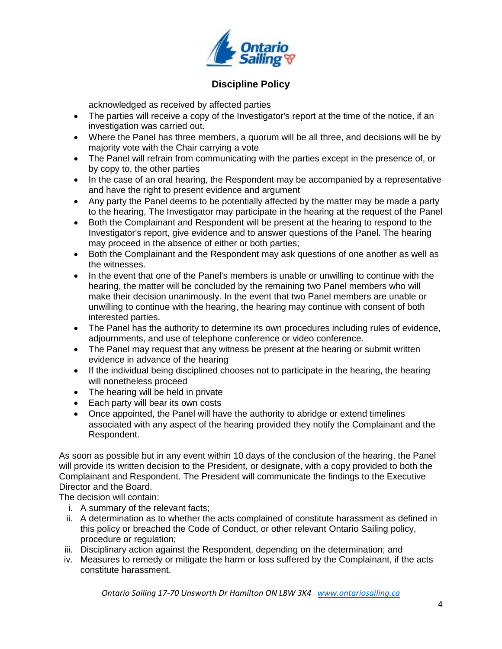

acknowledged as received by affected parties

- The parties will receive a copy of the Investigator's report at the time of the notice, if an investigation was carried out.
- Where the Panel has three members, a quorum will be all three, and decisions will be by majority vote with the Chair carrying a vote
- The Panel will refrain from communicating with the parties except in the presence of, or by copy to, the other parties
- In the case of an oral hearing, the Respondent may be accompanied by a representative and have the right to present evidence and argument
- Any party the Panel deems to be potentially affected by the matter may be made a party to the hearing, The Investigator may participate in the hearing at the request of the Panel
- Both the Complainant and Respondent will be present at the hearing to respond to the Investigator's report, give evidence and to answer questions of the Panel. The hearing may proceed in the absence of either or both parties;
- Both the Complainant and the Respondent may ask questions of one another as well as the witnesses.
- In the event that one of the Panel's members is unable or unwilling to continue with the hearing, the matter will be concluded by the remaining two Panel members who will make their decision unanimously. In the event that two Panel members are unable or unwilling to continue with the hearing, the hearing may continue with consent of both interested parties.
- The Panel has the authority to determine its own procedures including rules of evidence, adjournments, and use of telephone conference or video conference.
- The Panel may request that any witness be present at the hearing or submit written evidence in advance of the hearing
- If the individual being disciplined chooses not to participate in the hearing, the hearing will nonetheless proceed
- The hearing will be held in private
- Each party will bear its own costs
- Once appointed, the Panel will have the authority to abridge or extend timelines associated with any aspect of the hearing provided they notify the Complainant and the Respondent.

As soon as possible but in any event within 10 days of the conclusion of the hearing, the Panel will provide its written decision to the President, or designate, with a copy provided to both the Complainant and Respondent. The President will communicate the findings to the Executive Director and the Board.

The decision will contain:

- i. A summary of the relevant facts;
- ii. A determination as to whether the acts complained of constitute harassment as defined in this policy or breached the Code of Conduct, or other relevant Ontario Sailing policy, procedure or regulation;
- iii. Disciplinary action against the Respondent, depending on the determination; and
- iv. Measures to remedy or mitigate the harm or loss suffered by the Complainant, if the acts constitute harassment.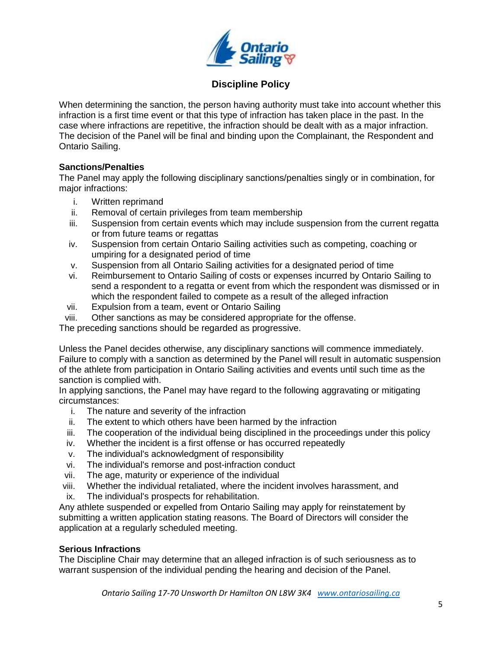

When determining the sanction, the person having authority must take into account whether this infraction is a first time event or that this type of infraction has taken place in the past. In the case where infractions are repetitive, the infraction should be dealt with as a major infraction. The decision of the Panel will be final and binding upon the Complainant, the Respondent and Ontario Sailing.

### **Sanctions/Penalties**

The Panel may apply the following disciplinary sanctions/penalties singly or in combination, for major infractions:

- i. Written reprimand
- ii. Removal of certain privileges from team membership
- iii. Suspension from certain events which may include suspension from the current regatta or from future teams or regattas
- iv. Suspension from certain Ontario Sailing activities such as competing, coaching or umpiring for a designated period of time
- v. Suspension from all Ontario Sailing activities for a designated period of time
- vi. Reimbursement to Ontario Sailing of costs or expenses incurred by Ontario Sailing to send a respondent to a regatta or event from which the respondent was dismissed or in which the respondent failed to compete as a result of the alleged infraction
- vii. Expulsion from a team, event or Ontario Sailing
- viii. Other sanctions as may be considered appropriate for the offense.

The preceding sanctions should be regarded as progressive.

Unless the Panel decides otherwise, any disciplinary sanctions will commence immediately. Failure to comply with a sanction as determined by the Panel will result in automatic suspension of the athlete from participation in Ontario Sailing activities and events until such time as the sanction is complied with.

In applying sanctions, the Panel may have regard to the following aggravating or mitigating circumstances:

- i. The nature and severity of the infraction
- ii. The extent to which others have been harmed by the infraction
- iii. The cooperation of the individual being disciplined in the proceedings under this policy
- iv. Whether the incident is a first offense or has occurred repeatedly
- v. The individual's acknowledgment of responsibility
- vi. The individual's remorse and post-infraction conduct
- vii. The age, maturity or experience of the individual
- viii. Whether the individual retaliated, where the incident involves harassment, and
- ix. The individual's prospects for rehabilitation.

Any athlete suspended or expelled from Ontario Sailing may apply for reinstatement by submitting a written application stating reasons. The Board of Directors will consider the application at a regularly scheduled meeting.

# **Serious Infractions**

The Discipline Chair may determine that an alleged infraction is of such seriousness as to warrant suspension of the individual pending the hearing and decision of the Panel.